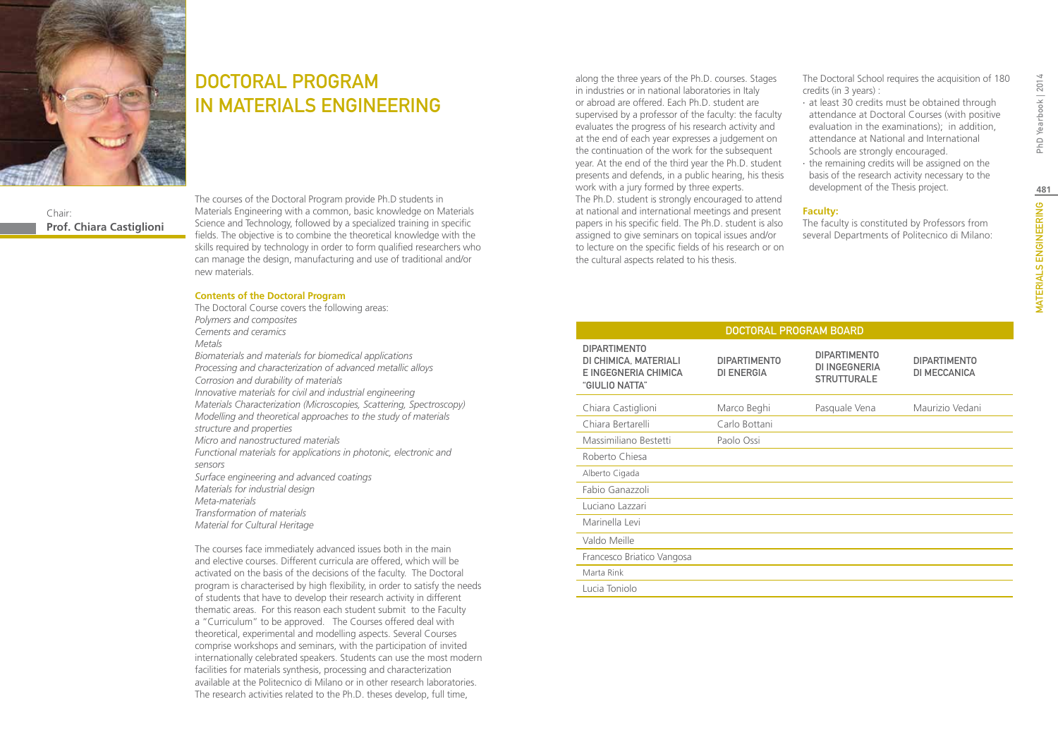

DOCTORAL PROGRAM IN MATERIALS ENGINEERING

Chair: **Prof. Chiara Castiglioni** The courses of the Doctoral Program provide Ph.D students in Materials Engineering with a common, basic knowledge on Materials Science and Technology, followed by a specialized training in specific fields. The objective is to combine the theoretical knowledge with the skills required by technology in order to form qualified researchers who can manage the design, manufacturing and use of traditional and/or new materials.

#### **Contents of the Doctoral Program**

The Doctoral Course covers the following areas: *Polymers and composites Cements and ceramics Metals Biomaterials and materials for biomedical applications Processing and characterization of advanced metallic alloys Corrosion and durability of materials Innovative materials for civil and industrial engineering Materials Characterization (Microscopies, Scattering, Spectroscopy) Modelling and theoretical approaches to the study of materials structure and properties Micro and nanostructured materials Functional materials for applications in photonic, electronic and sensors Surface engineering and advanced coatings Materials for industrial design Meta-materials Transformation of materials Material for Cultural Heritage* 

The courses face immediately advanced issues both in the main and elective courses. Different curricula are offered, which will be activated on the basis of the decisions of the faculty. The Doctoral program is characterised by high flexibility, in order to satisfy the needs of students that have to develop their research activity in different thematic areas. For this reason each student submit to the Faculty a "Curriculum" to be approved. The Courses offered deal with theoretical, experimental and modelling aspects. Several Courses comprise workshops and seminars, with the participation of invited internationally celebrated speakers. Students can use the most modern facilities for materials synthesis, processing and characterization available at the Politecnico di Milano or in other research laboratories. The research activities related to the Ph.D. theses develop, full time,

along the three years of the Ph.D. courses. Stages in industries or in national laboratories in Italy or abroad are offered. Each Ph.D. student are supervised by a professor of the faculty: the faculty evaluates the progress of his research activity and at the end of each year expresses a judgement on the continuation of the work for the subsequent year. At the end of the third year the Ph.D. student presents and defends, in a public hearing, his thesis work with a jury formed by three experts. The Ph.D. student is strongly encouraged to attend at national and international meetings and present papers in his specific field. The Ph.D. student is also assigned to give seminars on topical issues and/or to lecture on the specific fields of his research or on the cultural aspects related to his thesis.

The Doctoral School requires the acquisition of 180 credits (in 3 years) :

- ∙ at least 30 credits must be obtained through attendance at Doctoral Courses (with positive evaluation in the examinations); in addition, attendance at National and International Schools are strongly encouraged.
- ∙ the remaining credits will be assigned on the basis of the research activity necessary to the development of the Thesis project.

#### **Faculty:**

The faculty is constituted by Professors from several Departments of Politecnico di Milano: PhD Yearbook | 2014

| DOCTORAL PROGRAM BOARD                                                                 |                                          |                                                                   |                                            |  |  |
|----------------------------------------------------------------------------------------|------------------------------------------|-------------------------------------------------------------------|--------------------------------------------|--|--|
| <b>DIPARTIMENTO</b><br>DI CHIMICA, MATERIALI<br>E INGEGNERIA CHIMICA<br>"GIULIO NATTA" | <b>DIPARTIMENTO</b><br><b>DI ENERGIA</b> | <b>DIPARTIMENTO</b><br><b>DI INGEGNERIA</b><br><b>STRUTTURALE</b> | <b>DIPARTIMENTO</b><br><b>DI MECCANICA</b> |  |  |
| Chiara Castiglioni                                                                     | Marco Beghi                              | Pasquale Vena                                                     | Maurizio Vedani                            |  |  |
| Chiara Bertarelli                                                                      | Carlo Bottani                            |                                                                   |                                            |  |  |
| Massimiliano Bestetti                                                                  | Paolo Ossi                               |                                                                   |                                            |  |  |
| Roberto Chiesa                                                                         |                                          |                                                                   |                                            |  |  |
| Alberto Cigada                                                                         |                                          |                                                                   |                                            |  |  |
| Fabio Ganazzoli                                                                        |                                          |                                                                   |                                            |  |  |
| Luciano Lazzari                                                                        |                                          |                                                                   |                                            |  |  |
| Marinella Levi                                                                         |                                          |                                                                   |                                            |  |  |
| Valdo Meille                                                                           |                                          |                                                                   |                                            |  |  |
| Francesco Briatico Vangosa                                                             |                                          |                                                                   |                                            |  |  |
| Marta Rink                                                                             |                                          |                                                                   |                                            |  |  |
| Lucia Toniolo                                                                          |                                          |                                                                   |                                            |  |  |
|                                                                                        |                                          |                                                                   |                                            |  |  |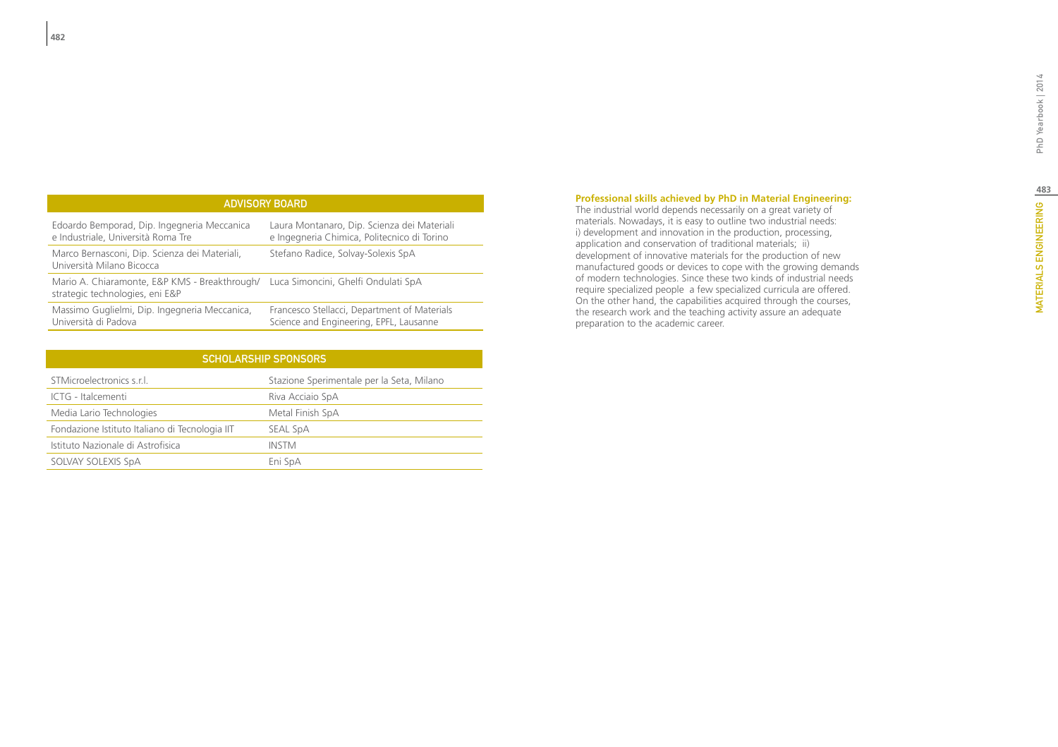| <b>ADVISORY BOARD</b> |  |  |
|-----------------------|--|--|
|                       |  |  |

| Edoardo Bemporad, Dip. Ingegneria Meccanica                                                                          | Laura Montanaro, Dip. Scienza dei Materiali  |
|----------------------------------------------------------------------------------------------------------------------|----------------------------------------------|
| e Industriale, Università Roma Tre                                                                                   | e Ingegneria Chimica, Politecnico di Torino  |
| Marco Bernasconi, Dip. Scienza dei Materiali,<br>Università Milano Bicocca                                           | Stefano Radice, Solvay-Solexis SpA           |
| Mario A. Chiaramonte, E&P KMS - Breakthrough/ Luca Simoncini, Ghelfi Ondulati SpA<br>strategic technologies, eni E&P |                                              |
| Massimo Guglielmi, Dip. Ingegneria Meccanica,                                                                        | Francesco Stellacci, Department of Materials |
| Università di Padova                                                                                                 | Science and Engineering, EPFL, Lausanne      |

| <b>SCHOLARSHIP SPONSORS</b>                    |                                           |  |  |  |
|------------------------------------------------|-------------------------------------------|--|--|--|
| STMicroelectronics s.r.l.                      | Stazione Sperimentale per la Seta, Milano |  |  |  |
| ICTG - Italcementi                             | Riva Acciaio SpA                          |  |  |  |
| Media Lario Technologies                       | Metal Finish SpA                          |  |  |  |
| Fondazione Istituto Italiano di Tecnologia IIT | SEAL SpA                                  |  |  |  |
| Istituto Nazionale di Astrofisica              | <b>INSTM</b>                              |  |  |  |
| SOLVAY SOLEXIS SpA                             | Eni SpA                                   |  |  |  |

### **Professional skills achieved by PhD in Material Engineering:**

The industrial world depends necessarily on a great variety of materials. Nowadays, it is easy to outline two industrial needs: i) development and innovation in the production, processing, application and conservation of traditional materials; ii) development of innovative materials for the production of new manufactured goods or devices to cope with the growing demands of modern technologies. Since these two kinds of industrial needs require specialized people a few specialized curricula are offered. On the other hand, the capabilities acquired through the courses, the research work and the teaching activity assure an adequate preparation to the academic career.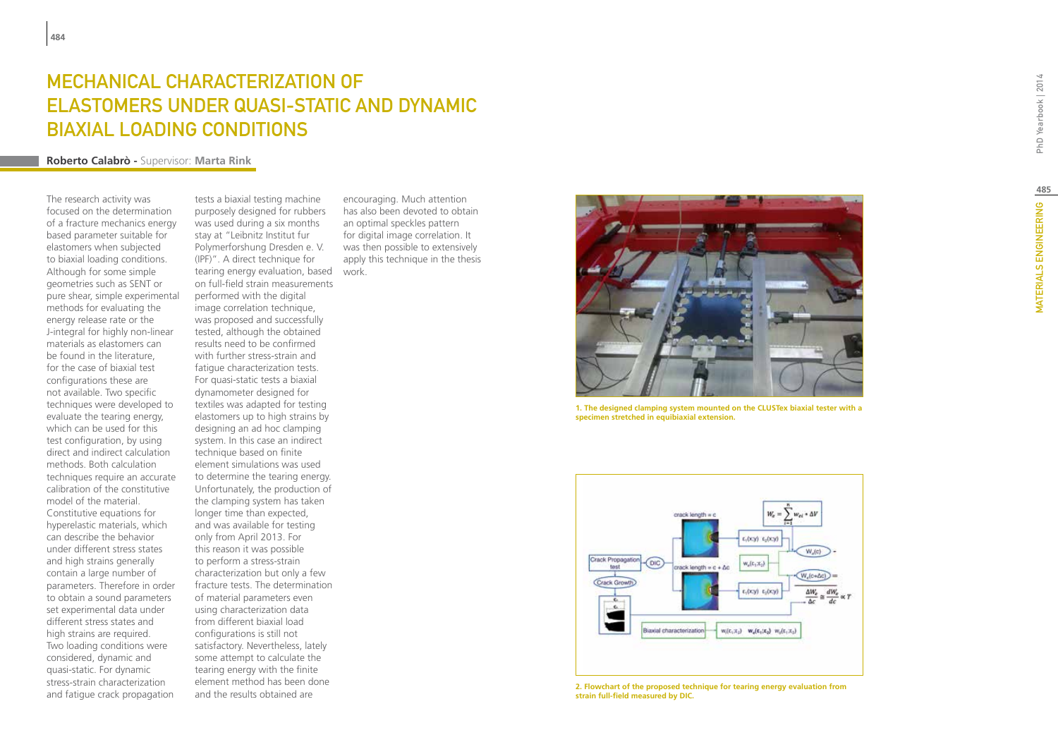# Mechanical characterization of elastomers under quasi-static and dynamic biaxial loading conditions

### **Roberto Calabrò -** Supervisor: **Marta Rink**

The research activity was focused on the determination of a fracture mechanics energy based parameter suitable for elastomers when subjected to biaxial loading conditions. Although for some simple geometries such as SENT or pure shear, simple experimental methods for evaluating the energy release rate or the J-integral for highly non-linear materials as elastomers can be found in the literature, for the case of biaxial test configurations these are not available. Two specific techniques were developed to evaluate the tearing energy, which can be used for this test configuration, by using direct and indirect calculation methods. Both calculation techniques require an accurate calibration of the constitutive model of the material. Constitutive equations for hyperelastic materials, which can describe the behavior under different stress states and high strains generally contain a large number of parameters. Therefore in order to obtain a sound parameters set experimental data under different stress states and high strains are required. Two loading conditions were considered, dynamic and quasi-static. For dynamic stress-strain characterization and fatigue crack propagation

tearing energy evaluation, based work. tests a biaxial testing machine purposely designed for rubbers was used during a six months stay at "Leibnitz Institut fur Polymerforshung Dresden e. V. (IPF)". A direct technique for on full-field strain measurements performed with the digital image correlation technique, was proposed and successfully tested, although the obtained results need to be confirmed with further stress-strain and fatigue characterization tests. For quasi-static tests a biaxial dynamometer designed for textiles was adapted for testing elastomers up to high strains by designing an ad hoc clamping system. In this case an indirect technique based on finite element simulations was used to determine the tearing energy. Unfortunately, the production of the clamping system has taken longer time than expected, and was available for testing only from April 2013. For this reason it was possible to perform a stress-strain characterization but only a few fracture tests. The determination of material parameters even using characterization data from different biaxial load configurations is still not satisfactory. Nevertheless, lately some attempt to calculate the tearing energy with the finite element method has been done and the results obtained are

encouraging. Much attention has also been devoted to obtain an optimal speckles pattern for digital image correlation. It was then possible to extensively apply this technique in the thesis



**1. The designed clamping system mounted on the CLUSTex biaxial tester with a specimen stretched in equibiaxial extension.**



**2. Flowchart of the proposed technique for tearing energy evaluation from strain full-field measured by DIC.**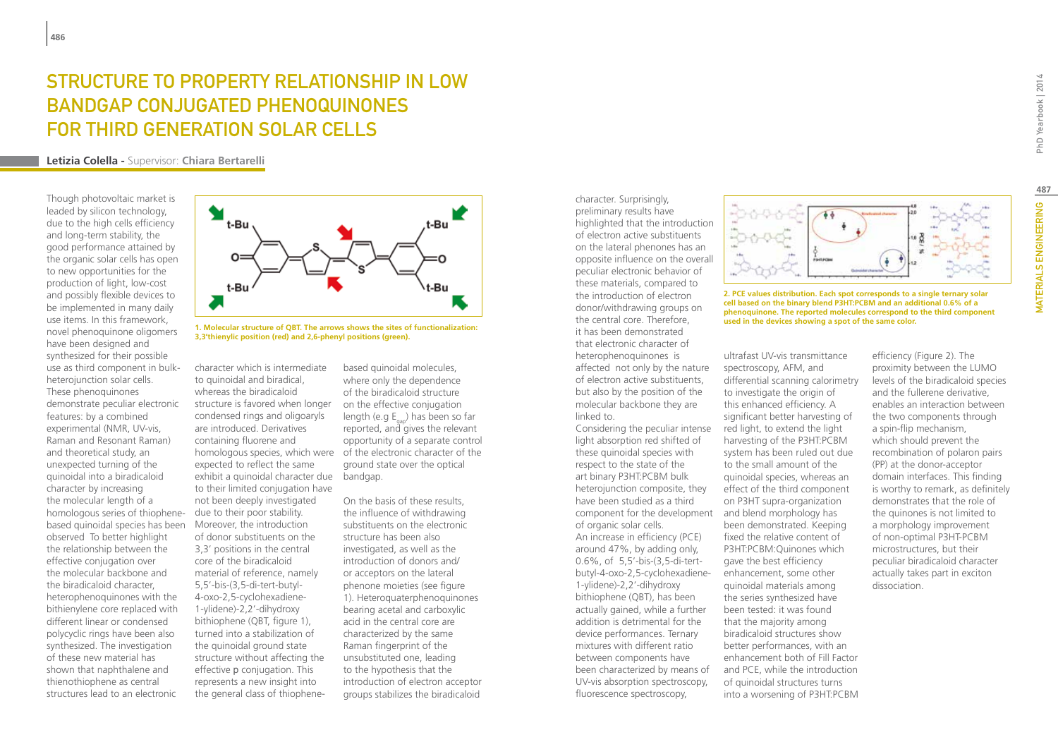## STRUCTURE TO PROPERTY RELATIONSHIP IN LOW bandgap conjugated phenoquinones for third generation solar cells

**Letizia Colella -** Supervisor: **Chiara Bertarelli**

Though photovoltaic market is leaded by silicon technology, due to the high cells efficiency and long-term stability, the good performance attained by the organic solar cells has open to new opportunities for the production of light, low-cost and possibly flexible devices to be implemented in many daily use items. In this framework, novel phenoquinone oligomers have been designed and synthesized for their possible use as third component in bulkheterojunction solar cells. These phenoquinones demonstrate peculiar electronic features: by a combined experimental (NMR, UV-vis, Raman and Resonant Raman) and theoretical study, an unexpected turning of the quinoidal into a biradicaloid character by increasing the molecular length of a homologous series of thiophenebased quinoidal species has been observed To better highlight the relationship between the effective conjugation over the molecular backbone and the biradicaloid character, heterophenoquinones with the bithienylene core replaced with different linear or condensed polycyclic rings have been also synthesized. The investigation of these new material has shown that naphthalene and thienothiophene as central structures lead to an electronic



**used in the devices showing a spot of the same color. 1. Molecular structure of QBT. The arrows shows the sites of functionalization: 3,3'thienylic position (red) and 2,6-phenyl positions (green).**

structure is favored when longer on the effective conjugation exhibit a quinoidal character due bandgap. character which is intermediate to quinoidal and biradical, whereas the biradicaloid condensed rings and oligoaryls are introduced. Derivatives containing fluorene and expected to reflect the same to their limited conjugation have not been deeply investigated due to their poor stability. Moreover, the introduction of donor substituents on the 3,3' positions in the central core of the biradicaloid material of reference, namely 5,5'-bis-(3,5-di-tert-butyl-4-oxo-2,5-cyclohexadiene-1-ylidene)-2,2'-dihydroxy bithiophene (QBT, figure 1), turned into a stabilization of the quinoidal ground state structure without affecting the effective p conjugation. This represents a new insight into the general class of thiophene-

based quinoidal molecules, where only the dependence of the biradicaloid structure length (e.g  $E_{\text{can}}$ ) has been so far reported, and gives the relevant opportunity of a separate control homologous species, which were of the electronic character of the ground state over the optical

> On the basis of these results, the influence of withdrawing substituents on the electronic structure has been also investigated, as well as the introduction of donors and/ or acceptors on the lateral phenone moieties (see figure 1). Heteroquaterphenoquinones bearing acetal and carboxylic acid in the central core are characterized by the same Raman fingerprint of the unsubstituted one, leading to the hypothesis that the introduction of electron acceptor groups stabilizes the biradicaloid

character. Surprisingly, preliminary results have highlighted that the introduction of electron active substituents on the lateral phenones has an opposite influence on the overall peculiar electronic behavior of these materials, compared to the introduction of electron donor/withdrawing groups on the central core. Therefore, it has been demonstrated that electronic character of heterophenoquinones is affected not only by the nature of electron active substituents, but also by the position of the molecular backbone they are linked to.

component for the development and blend morphology has Considering the peculiar intense light absorption red shifted of these quinoidal species with respect to the state of the art binary P3HT:PCBM bulk heterojunction composite, they have been studied as a third of organic solar cells. An increase in efficiency (PCE) around 47%, by adding only, 0.6%, of 5,5'-bis-(3,5-di-tertbutyl-4-oxo-2,5-cyclohexadiene-1-ylidene)-2,2'-dihydroxy bithiophene (QBT), has been actually gained, while a further addition is detrimental for the device performances. Ternary mixtures with different ratio between components have been characterized by means of UV-vis absorption spectroscopy, fluorescence spectroscopy,



**2. PCE values distribution. Each spot corresponds to a single ternary solar cell based on the binary blend P3HT:PCBM and an additional 0.6% of a phenoquinone. The reported molecules correspond to the third component** 

ultrafast UV-vis transmittance spectroscopy, AFM, and differential scanning calorimetry to investigate the origin of this enhanced efficiency. A significant better harvesting of red light, to extend the light harvesting of the P3HT:PCBM system has been ruled out due to the small amount of the quinoidal species, whereas an effect of the third component on P3HT supra-organization been demonstrated. Keeping fixed the relative content of P3HT:PCBM:Quinones which gave the best efficiency enhancement, some other quinoidal materials among the series synthesized have been tested: it was found that the majority among biradicaloid structures show better performances, with an enhancement both of Fill Factor and PCE, while the introduction of quinoidal structures turns into a worsening of P3HT:PCBM

efficiency (Figure 2). The proximity between the LUMO levels of the biradicaloid species and the fullerene derivative, enables an interaction between the two components through a spin-flip mechanism, which should prevent the recombination of polaron pairs (PP) at the donor-acceptor domain interfaces. This finding is worthy to remark, as definitely demonstrates that the role of the quinones is not limited to a morphology improvement of non-optimal P3HT-PCBM microstructures, but their peculiar biradicaloid character actually takes part in exciton dissociation.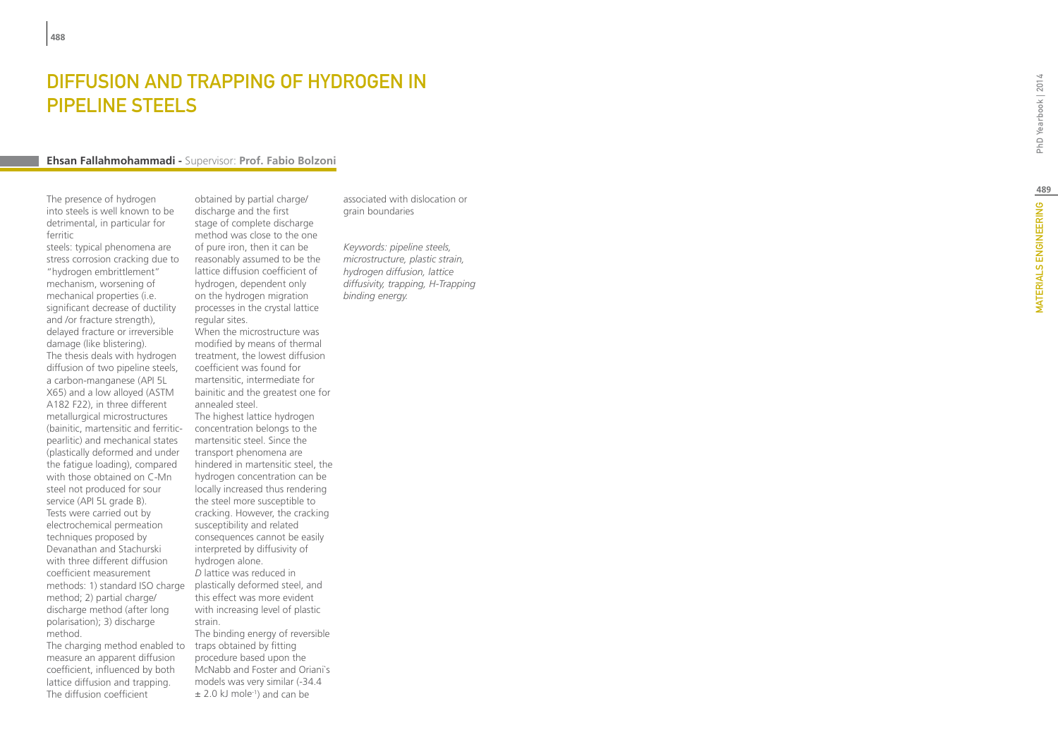## DIFFUSION AND TRAPPING OF HYDROGEN Pipeline Steels

### **Ehsan Fallahmohammadi -** Supervisor: **Prof. Fabio Bolzoni**

The presence of hydrogen into steels is well known to be detrimental, in particular for ferritic

steels: typical phenomena are stress corrosion cracking due to "hydrogen embrittlement" mechanism, worsening of mechanical properties (i.e. significant decrease of ductility and /or fracture strength), delayed fracture or irreversible damage (like blistering). The thesis deals with hydrogen diffusion of two pipeline steels, a carbon-manganese (API 5L X65) and a low alloyed (ASTM A182 F22), in three different metallurgical microstructures (bainitic, martensitic and ferriticpearlitic) and mechanical states (plastically deformed and under the fatigue loading), compared with those obtained on C-Mn steel not produced for sour service (API 5L grade B). Tests were carried out by electrochemical permeation techniques proposed by Devanathan and Stachurski with three different diffusion coefficient measurement methods: 1) standard ISO charge method; 2) partial charge/ discharge method (after long polarisation); 3) discharge method.

The charging method enabled to measure an apparent diffusion coefficient, influenced by both lattice diffusion and trapping. The diffusion coefficient

obtained by partial charge/ discharge and the first stage of complete discharge method was close to the one of pure iron, then it can be reasonably assumed to be the lattice diffusion coefficient of hydrogen, dependent only on the hydrogen migration processes in the crystal lattice regular sites. When the microstructure was modified by means of thermal treatment, the lowest diffusion coefficient was found for martensitic, intermediate for bainitic and the greatest one for annealed steel. The highest lattice hydrogen concentration belongs to the martensitic steel. Since the transport phenomena are hindered in martensitic steel, the hydrogen concentration can be locally increased thus rendering the steel more susceptible to cracking. However, the cracking susceptibility and related consequences cannot be easily interpreted by diffusivity of hydrogen alone. *D* lattice was reduced in plastically deformed steel, and this effect was more evident with increasing level of plastic strain. The binding energy of reversible traps obtained by fitting procedure based upon the

McNabb and Foster and Oriani`s models was very similar (-34.4 ± 2.0 kJ mole-1) and can be

associated with dislocation or grain boundaries

*Keywords: pipeline steels, microstructure, plastic strain, hydrogen diffusion, lattice diffusivity, trapping, H-Trapping binding energy.*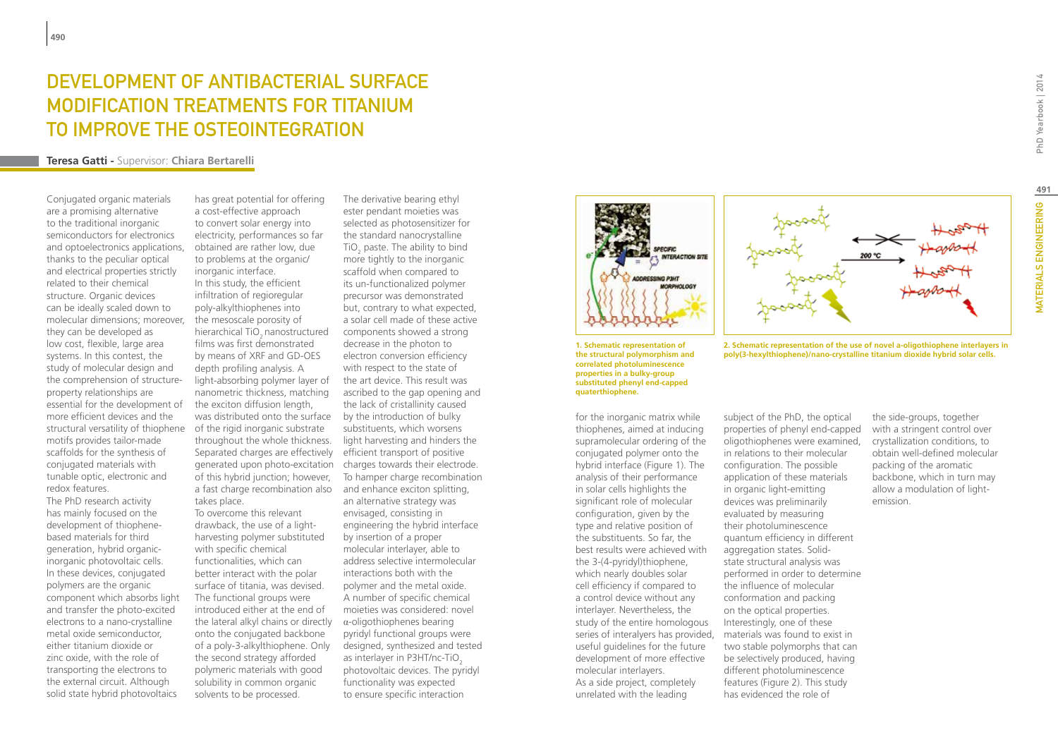## DEVELOPMENT OF ANTIBACTERIAL SURFACE modification treatments for titanium to improve the osteointegration

### **Teresa Gatti -** Supervisor: **Chiara Bertarelli**

Conjugated organic materials are a promising alternative to the traditional inorganic semiconductors for electronics and optoelectronics applications, thanks to the peculiar optical and electrical properties strictly related to their chemical structure. Organic devices can be ideally scaled down to molecular dimensions; moreover, they can be developed as low cost, flexible, large area systems. In this contest, the study of molecular design and the comprehension of structureproperty relationships are essential for the development of more efficient devices and the structural versatility of thiophene motifs provides tailor-made scaffolds for the synthesis of conjugated materials with tunable optic, electronic and redox features. The PhD research activity has mainly focused on the development of thiophenebased materials for third generation, hybrid organicinorganic photovoltaic cells. In these devices, conjugated polymers are the organic component which absorbs light and transfer the photo-excited electrons to a nano-crystalline metal oxide semiconductor, either titanium dioxide or zinc oxide, with the role of transporting the electrons to the external circuit. Although solid state hybrid photovoltaics

was distributed onto the surface by the introduction of bulky Separated charges are effectively efficient transport of positive generated upon photo-excitation charges towards their electrode. a fast charge recombination also and enhance exciton splitting, has great potential for offering a cost-effective approach to convert solar energy into electricity, performances so far obtained are rather low, due to problems at the organic/ inorganic interface. In this study, the efficient infiltration of regioregular poly-alkylthiophenes into the mesoscale porosity of hierarchical TiO<sub>2</sub> nanostructured films was first demonstrated by means of XRF and GD-OES depth profiling analysis. A light-absorbing polymer layer of nanometric thickness, matching the exciton diffusion length, of the rigid inorganic substrate throughout the whole thickness. of this hybrid junction; however, takes place. To overcome this relevant

the lateral alkyl chains or directly  $\alpha$ -oligothiophenes bearing drawback, the use of a lightharvesting polymer substituted with specific chemical functionalities, which can better interact with the polar surface of titania, was devised. The functional groups were introduced either at the end of onto the conjugated backbone of a poly-3-alkylthiophene. Only the second strategy afforded polymeric materials with good solubility in common organic solvents to be processed.

The derivative bearing ethyl ester pendant moieties was selected as photosensitizer for the standard nanocrystalline TiO<sub>2</sub> paste. The ability to bind more tightly to the inorganic scaffold when compared to its un-functionalized polymer precursor was demonstrated but, contrary to what expected, a solar cell made of these active components showed a strong decrease in the photon to electron conversion efficiency with respect to the state of the art device. This result was ascribed to the gap opening and the lack of cristallinity caused substituents, which worsens light harvesting and hinders the To hamper charge recombination an alternative strategy was envisaged, consisting in engineering the hybrid interface by insertion of a proper molecular interlayer, able to address selective intermolecular interactions both with the polymer and the metal oxide. A number of specific chemical moieties was considered: novel pyridyl functional groups were designed, synthesized and tested as interlayer in P3HT/nc-TiO2 photovoltaic devices. The pyridyl functionality was expected to ensure specific interaction



**1. Schematic representation of the structural polymorphism and correlated photoluminescence properties in a bulky-group substituted phenyl end-capped quaterthiophene.**

series of interalyers has provided, materials was found to exist in for the inorganic matrix while thiophenes, aimed at inducing supramolecular ordering of the conjugated polymer onto the hybrid interface (Figure 1). The analysis of their performance in solar cells highlights the significant role of molecular configuration, given by the type and relative position of the substituents. So far, the best results were achieved with the 3-(4-pyridyl)thiophene, which nearly doubles solar cell efficiency if compared to a control device without any interlayer. Nevertheless, the study of the entire homologous useful guidelines for the future development of more effective molecular interlayers. As a side project, completely unrelated with the leading

subject of the PhD, the optical properties of phenyl end-capped oligothiophenes were examined, in relations to their molecular configuration. The possible application of these materials in organic light-emitting devices was preliminarily evaluated by measuring their photoluminescence quantum efficiency in different aggregation states. Solidstate structural analysis was performed in order to determine the influence of molecular conformation and packing on the optical properties. Interestingly, one of these two stable polymorphs that can be selectively produced, having different photoluminescence features (Figure 2). This study

PhD Yearbook | 2014

**2. Schematic representation of the use of novel a-oligothiophene interlayers in poly(3-hexylthiophene)/nano-crystalline titanium dioxide hybrid solar cells.**

> the side-groups, together with a stringent control over crystallization conditions, to obtain well-defined molecular packing of the aromatic backbone, which in turn may allow a modulation of lightemission.

has evidenced the role of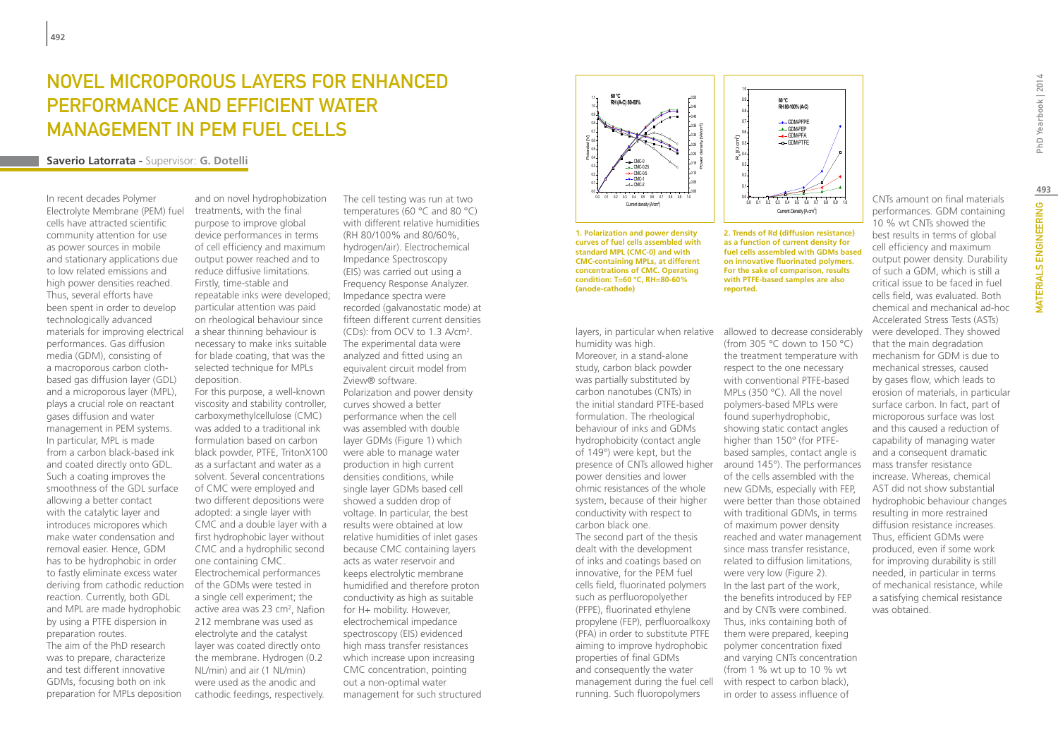### NOVEL MICROPOROUS LAYERS FOR ENHANCED PERFORMANCE AND EFFICIENT WATER MANAGEMENT IN PEM FUEL CELLS Ĩ

### **Saverio Latorrata -** Supervisor: **G. Dotelli**

In recent decades Polymer Electrolyte Membrane (PEM) fuel cells have attracted scientific community attention for use as power sources in mobile and stationary applications due to low related emissions and high power densities reached. Thus, several efforts have been spent in order to develop technologically advanced materials for improving electrical performances. Gas diffusion media (GDM), consisting of a macroporous carbon clothbased gas diffusion layer (GDL) and a microporous layer (MPL), plays a crucial role on reactant gases diffusion and water management in PEM systems. In particular, MPL is made from a carbon black-based ink and coated directly onto GDL. Such a coating improves the smoothness of the GDL surface allowing a better contact with the catalytic layer and introduces micropores which make water condensation and removal easier. Hence, GDM has to be hydrophobic in order to fastly eliminate excess water deriving from cathodic reduction reaction. Currently, both GDL and MPL are made hydrophobic by using a PTFE dispersion in preparation routes. The aim of the PhD research was to prepare, characterize and test different innovative GDMs, focusing both on ink preparation for MPLs deposition

and on novel hydrophobization treatments, with the final purpose to improve global device performances in terms of cell efficiency and maximum output power reached and to reduce diffusive limitations. Firstly, time-stable and repeatable inks were developed; particular attention was paid on rheological behaviour since a shear thinning behaviour is necessary to make inks suitable for blade coating, that was the selected technique for MPLs deposition.

For this purpose, a well-known viscosity and stability controller, carboxymethylcellulose (CMC) was added to a traditional ink formulation based on carbon black powder, PTFE, TritonX100 as a surfactant and water as a solvent. Several concentrations of CMC were employed and two different depositions were adopted: a single layer with CMC and a double layer with a first hydrophobic layer without CMC and a hydrophilic second one containing CMC. Electrochemical performances of the GDMs were tested in a single cell experiment; the active area was 23 cm<sup>2</sup>, Nafion 212 membrane was used as electrolyte and the catalyst layer was coated directly onto the membrane. Hydrogen (0.2 NL/min) and air (1 NL/min) were used as the anodic and cathodic feedings, respectively.

The cell testing was run at two temperatures (60 °C and 80 °C) with different relative humidities (RH 80/100% and 80/60%, hydrogen/air). Electrochemical Impedance Spectroscopy (EIS) was carried out using a **COLOGY CONGLES** Frequency Response Analyzer. Impedance spectra were recorded (galvanostatic mode) at fifteen different current densities (CDs): from OCV to 1.3 A/cm2 . The experimental data were analyzed and fitted using an equivalent circuit model from Zview® software. Polarization and power density curves showed a better performance when the cell was assembled with double layer GDMs (Figure 1) which were able to manage water production in high current densities conditions, while single layer GDMs based cell showed a sudden drop of voltage. In particular, the best results were obtained at low relative humidities of inlet gases because CMC containing layers acts as water reservoir and keeps electrolytic membrane humidified and therefore proton conductivity as high as suitable for H+ mobility. However, electrochemical impedance spectroscopy (EIS) evidenced high mass transfer resistances which increase upon increasing CMC concentration, pointing out a non-optimal water management for such structured



concentrations of CMC. Operating examples are of comparison control of the same of comparison reported.<br>**condition: T=60 °C, RH=80-60%** with PTFE-based sa **1. Polarization and power density curves of fuel cells assembled with standard MPL (CMC-0) and with CMC-containing MPLs, at different concentrations of CMC. Operating (anode-cathode)**

layers, in particular when relative allowed to decrease considerably humidity was high.

Moreover, in a stand-alone study, carbon black powder was partially substituted by carbon nanotubes (CNTs) in the initial standard PTFE-based formulation. The rheological behaviour of inks and GDMs hydrophobicity (contact angle of 149°) were kept, but the power densities and lower ohmic resistances of the whole system, because of their higher conductivity with respect to carbon black one. The second part of the thesis dealt with the development of inks and coatings based on innovative, for the PEM fuel cells field, fluorinated polymers such as perfluoropolyether (PFPE), fluorinated ethylene propylene (FEP), perfluoroalkoxy (PFA) in order to substitute PTFE aiming to improve hydrophobic properties of final GDMs and consequently the water management during the fuel cell running. Such fluoropolymers

1. Polarization and power density and the state of Rd (diffusion resistance) best results in terms of global current density for the state of the state of the state of the state of the state of the state of the state of th standard MPL (CMC-0) and With The Free Cells assembled with GDMs based<br>CMC-containing MPLs, at different The on innovative fluorinated polymers. The output power density. Durability 0/60%. **Curves of Act assembled with standard with standard metal assembled with standard metal assembled to the M CONCOMCALCOMC-CONTAINING CONCOMC-CONTAINING CONCENTRATIONS CONTAINING CONTAINING CONTAINING CONTAINING CONTAINING CONTAINING CONTAINING CONTAINING CONTAINING CONTAINING CONTAINING CONTAINING CONTAINING CONTAINING CONTAINI as a function of current density for on innovative fluorinated polymers. For the sake of comparison, results with PTFE-based samples are also reported.**

0.0 0.1 0.2 0.3 0.4 0.5 0.6 0.7 0.8 0.9 1.0

Current Density [A cm<sup>2</sup>]

-• GDM-PFPE GDM-FEP GDM-PFA GDM-PTFE

**60 °C RH 80-100% (A-C)**

0.0  $\cup$ . 1  $U_{\cdot}$ 0.3 0.4 0.5 0.6  $U.I$ 0.8 0.9 1.0

R<sub>g</sub>[Ω cm<sup>2</sup>]

(from 305 °C down to 150 °C) the treatment temperature with respect to the one necessary with conventional PTFE-based MPLs (350 °C). All the novel polymers-based MPLs were found superhydrophobic, showing static contact angles higher than 150° (for PTFEbased samples, contact angle is presence of CNTs allowed higher around 145°). The performances of the cells assembled with the new GDMs, especially with FEP, were better than those obtained with traditional GDMs, in terms of maximum power density reached and water management since mass transfer resistance, related to diffusion limitations, were very low (Figure 2). In the last part of the work, the benefits introduced by FEP and by CNTs were combined. Thus, inks containing both of them were prepared, keeping polymer concentration fixed and varying CNTs concentration (from 1 % wt up to 10 % wt with respect to carbon black). in order to assess influence of

CNTs amount on final materials performances. GDM containing 10 % wt CNTs showed the cell efficiency and maximum of such a GDM, which is still a critical issue to be faced in fuel cells field, was evaluated. Both chemical and mechanical ad-hoc Accelerated Stress Tests (ASTs) were developed. They showed that the main degradation mechanism for GDM is due to mechanical stresses, caused by gases flow, which leads to erosion of materials, in particular surface carbon. In fact, part of microporous surface was lost and this caused a reduction of capability of managing water and a consequent dramatic mass transfer resistance increase. Whereas, chemical AST did not show substantial hydrophobic behaviour changes resulting in more restrained diffusion resistance increases. Thus, efficient GDMs were produced, even if some work for improving durability is still

needed, in particular in terms of mechanical resistance, while a satisfying chemical resistance

was obtained.

PhD Yearbook | 2014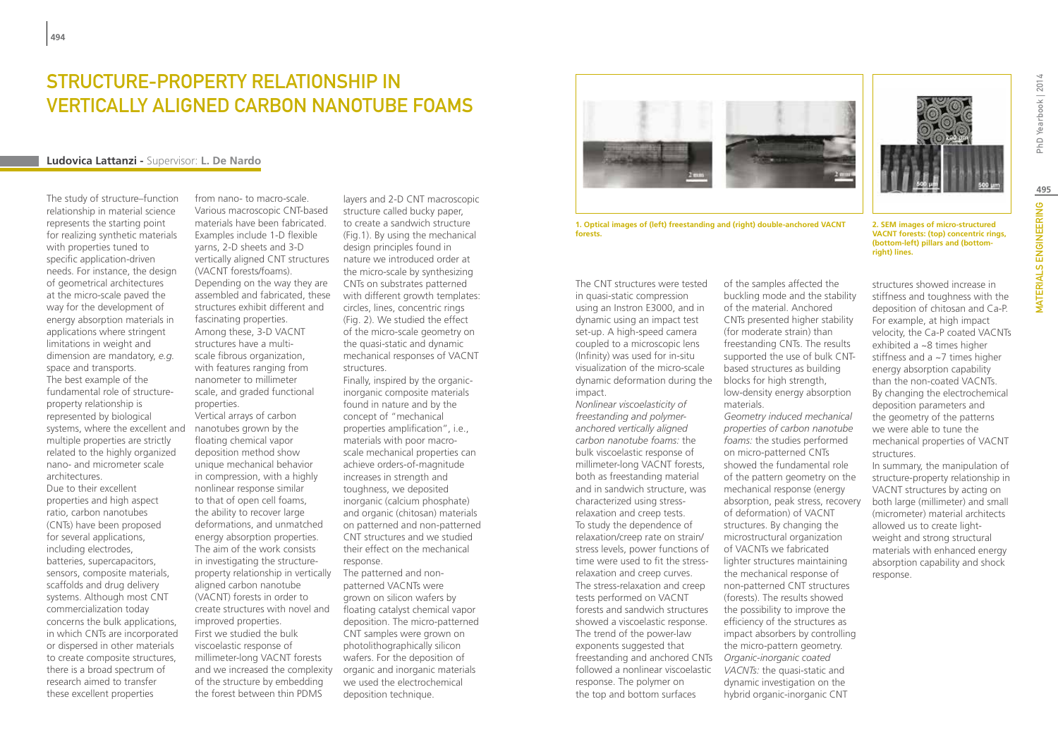## STRUCTURE-PROPERTY RELATIONSHIP IN vertically aligned carbon nanotube foams

### **Ludovica Lattanzi -** Supervisor: **L. De Nardo**

The study of structure–function relationship in material science represents the starting point for realizing synthetic materials with properties tuned to specific application-driven needs. For instance, the design of geometrical architectures at the micro-scale paved the way for the development of energy absorption materials in applications where stringent limitations in weight and dimension are mandatory, *e.g.* space and transports. The best example of the fundamental role of structureproperty relationship is represented by biological systems, where the excellent and multiple properties are strictly related to the highly organized nano- and micrometer scale architectures. Due to their excellent properties and high aspect ratio, carbon nanotubes (CNTs) have been proposed for several applications, including electrodes, batteries, supercapacitors, sensors, composite materials, scaffolds and drug delivery systems. Although most CNT commercialization today concerns the bulk applications, in which CNTs are incorporated or dispersed in other materials to create composite structures, there is a broad spectrum of research aimed to transfer these excellent properties

from nano- to macro-scale. Various macroscopic CNT-based materials have been fabricated. Examples include 1-D flexible yarns, 2-D sheets and 3-D vertically aligned CNT structures (VACNT forests/foams). Depending on the way they are assembled and fabricated, these structures exhibit different and fascinating properties. Among these, 3-D VACNT structures have a multiscale fibrous organization, with features ranging from nanometer to millimeter scale, and graded functional properties. Vertical arrays of carbon

nanotubes grown by the floating chemical vapor deposition method show unique mechanical behavior in compression, with a highly nonlinear response similar to that of open cell foams, the ability to recover large deformations, and unmatched energy absorption properties. The aim of the work consists in investigating the structureproperty relationship in vertically aligned carbon nanotube (VACNT) forests in order to create structures with novel and improved properties. First we studied the bulk viscoelastic response of millimeter-long VACNT forests and we increased the complexity of the structure by embedding the forest between thin PDMS

layers and 2-D CNT macroscopic structure called bucky paper, to create a sandwich structure (Fig.1). By using the mechanical design principles found in nature we introduced order at the micro-scale by synthesizing CNTs on substrates patterned with different growth templates: circles, lines, concentric rings (Fig. 2). We studied the effect of the micro-scale geometry on the quasi-static and dynamic mechanical responses of VACNT structures.

Finally, inspired by the organicinorganic composite materials found in nature and by the concept of "mechanical properties amplification", i.e., materials with poor macroscale mechanical properties can achieve orders-of-magnitude increases in strength and toughness, we deposited inorganic (calcium phosphate) and organic (chitosan) materials on patterned and non-patterned CNT structures and we studied their effect on the mechanical response.

The patterned and nonpatterned VACNTs were grown on silicon wafers by floating catalyst chemical vapor deposition. The micro-patterned CNT samples were grown on photolithographically silicon wafers. For the deposition of organic and inorganic materials we used the electrochemical deposition technique.

**1. Optical images of (left) freestanding and (right) double-anchored VACNT forests.**

The CNT structures were tested in quasi-static compression using an Instron E3000, and in dynamic using an impact test set-up. A high-speed camera coupled to a microscopic lens (Infinity) was used for in-situ visualization of the micro-scale dynamic deformation during the impact.

*Nonlinear viscoelasticity of freestanding and polymeranchored vertically aligned carbon nanotube foams:* the bulk viscoelastic response of millimeter-long VACNT forests, both as freestanding material and in sandwich structure, was characterized using stressrelaxation and creep tests. To study the dependence of relaxation/creep rate on strain/ stress levels, power functions of time were used to fit the stressrelaxation and creep curves. The stress-relaxation and creep tests performed on VACNT forests and sandwich structures showed a viscoelastic response. The trend of the power-law exponents suggested that freestanding and anchored CNTs followed a nonlinear viscoelastic response. The polymer on the top and bottom surfaces

of the samples affected the buckling mode and the stability of the material. Anchored CNTs presented higher stability (for moderate strain) than freestanding CNTs. The results supported the use of bulk CNTbased structures as building blocks for high strength, low-density energy absorption materials.

*Geometry induced mechanical properties of carbon nanotube foams:* the studies performed on micro-patterned CNTs showed the fundamental role of the pattern geometry on the mechanical response (energy absorption, peak stress, recovery of deformation) of VACNT structures. By changing the microstructural organization of VACNTs we fabricated lighter structures maintaining the mechanical response of non-patterned CNT structures (forests). The results showed the possibility to improve the efficiency of the structures as impact absorbers by controlling the micro-pattern geometry. *Organic-inorganic coated VACNTs:* the quasi-static and dynamic investigation on the hybrid organic-inorganic CNT

**2. SEM images of micro-structured VACNT forests: (top) concentric rings, (bottom-left) pillars and (bottomright) lines.**

structures showed increase in stiffness and toughness with the deposition of chitosan and Ca-P. For example, at high impact velocity, the Ca-P coated VACNTs exhibited a ~8 times higher stiffness and a ~7 times higher energy absorption capability than the non-coated VACNTs. By changing the electrochemical deposition parameters and the geometry of the patterns we were able to tune the mechanical properties of VACNT structures.

In summary, the manipulation of structure-property relationship in VACNT structures by acting on both large (millimeter) and small (micrometer) material architects allowed us to create lightweight and strong structural materials with enhanced energy absorption capability and shock response.

PhD Yearbook | 2014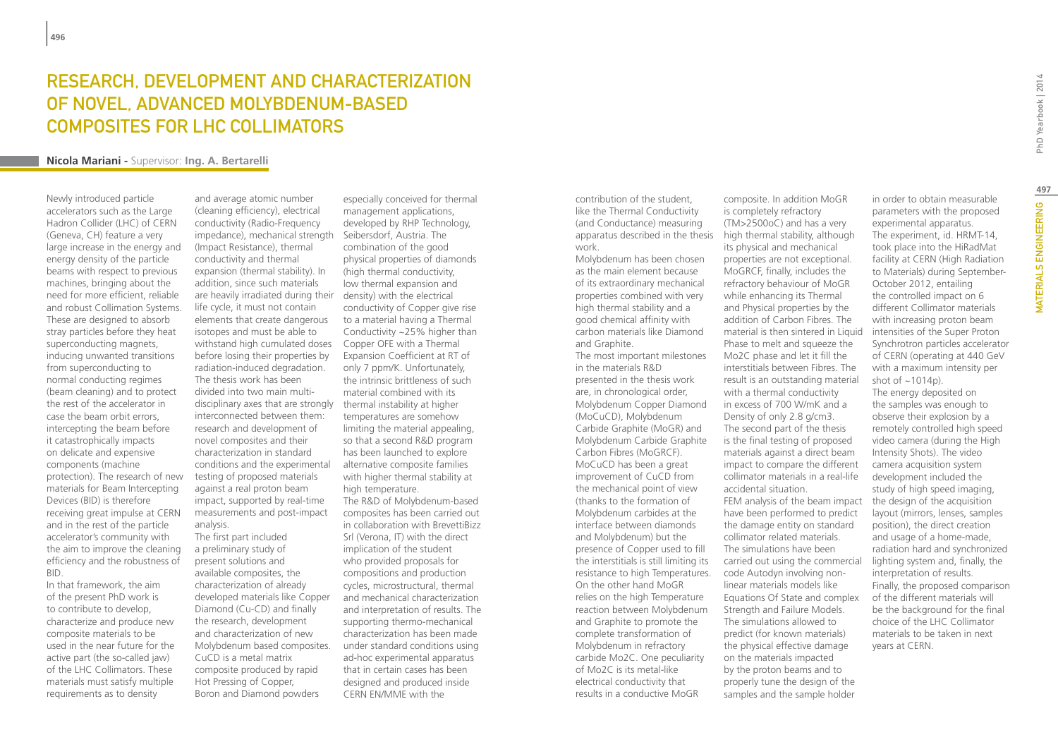## Research, Development and Characterization of Novel, Advanced Molybdenum-based Composites for LHC Collimators

### **Nicola Mariani -** Supervisor: **Ing. A. Bertarelli**

Newly introduced particle accelerators such as the Large Hadron Collider (LHC) of CERN (Geneva, CH) feature a very large increase in the energy and energy density of the particle beams with respect to previous machines, bringing about the need for more efficient, reliable and robust Collimation Systems. These are designed to absorb stray particles before they heat superconducting magnets, inducing unwanted transitions from superconducting to normal conducting regimes (beam cleaning) and to protect the rest of the accelerator in case the beam orbit errors, intercepting the beam before it catastrophically impacts on delicate and expensive components (machine protection). The research of new materials for Beam Intercepting Devices (BID) is therefore receiving great impulse at CERN and in the rest of the particle accelerator's community with the aim to improve the cleaning efficiency and the robustness of BID.

In that framework, the aim of the present PhD work is to contribute to develop, characterize and produce new composite materials to be used in the near future for the active part (the so-called jaw) of the LHC Collimators. These materials must satisfy multiple requirements as to density

impedance), mechanical strength Seibersdorf, Austria. The are heavily irradiated during their density) with the electrical withstand high cumulated doses Copper OFE with a Thermal disciplinary axes that are strongly thermal instability at higher and average atomic number (cleaning efficiency), electrical conductivity (Radio-Frequency (Impact Resistance), thermal conductivity and thermal expansion (thermal stability). In addition, since such materials life cycle, it must not contain elements that create dangerous isotopes and must be able to before losing their properties by radiation-induced degradation. The thesis work has been divided into two main multiinterconnected between them: research and development of novel composites and their characterization in standard conditions and the experimental testing of proposed materials against a real proton beam impact, supported by real-time measurements and post-impact analysis. The first part included a preliminary study of present solutions and

available composites, the characterization of already developed materials like Copper Diamond (Cu-CD) and finally the research, development and characterization of new Molybdenum based composites. CuCD is a metal matrix composite produced by rapid Hot Pressing of Copper, Boron and Diamond powders

especially conceived for thermal management applications, developed by RHP Technology, combination of the good physical properties of diamonds (high thermal conductivity, low thermal expansion and conductivity of Copper give rise to a material having a Thermal Conductivity ~25% higher than Expansion Coefficient at RT of only 7 ppm/K. Unfortunately, the intrinsic brittleness of such material combined with its temperatures are somehow limiting the material appealing, so that a second R&D program has been launched to explore alternative composite families with higher thermal stability at high temperature. The R&D of Molybdenum-based composites has been carried out in collaboration with BrevettiBizz Srl (Verona, IT) with the direct implication of the student who provided proposals for compositions and production cycles, microstructural, thermal and mechanical characterization and interpretation of results. The supporting thermo-mechanical characterization has been made under standard conditions using ad-hoc experimental apparatus that in certain cases has been designed and produced inside CERN EN/MME with the

apparatus described in the thesis high thermal stability, although contribution of the student, like the Thermal Conductivity (and Conductance) measuring work.

Molybdenum has been chosen as the main element because of its extraordinary mechanical properties combined with very high thermal stability and a good chemical affinity with carbon materials like Diamond and Graphite. The most important milestones in the materials R&D presented in the thesis work are, in chronological order, Molybdenum Copper Diamond (MoCuCD), Molybdenum Carbide Graphite (MoGR) and Molybdenum Carbide Graphite Carbon Fibres (MoGRCF). MoCuCD has been a great improvement of CuCD from the mechanical point of view (thanks to the formation of Molybdenum carbides at the interface between diamonds and Molybdenum) but the presence of Copper used to fill the interstitials is still limiting its resistance to high Temperatures. On the other hand MoGR relies on the high Temperature reaction between Molybdenum and Graphite to promote the complete transformation of Molybdenum in refractory carbide Mo2C. One peculiarity of Mo2C is its metal-like electrical conductivity that results in a conductive MoGR

composite. In addition MoGR is completely refractory (TM>2500oC) and has a very its physical and mechanical properties are not exceptional. MoGRCF, finally, includes the refractory behaviour of MoGR while enhancing its Thermal and Physical properties by the addition of Carbon Fibres. The material is then sintered in Liquid Phase to melt and squeeze the Mo2C phase and let it fill the interstitials between Fibres. The result is an outstanding material with a thermal conductivity in excess of 700 W/mK and a Density of only 2.8 g/cm3. The second part of the thesis is the final testing of proposed materials against a direct beam impact to compare the different collimator materials in a real-life accidental situation. FEM analysis of the beam impact have been performed to predict the damage entity on standard collimator related materials. The simulations have been carried out using the commercial code Autodyn involving nonlinear materials models like Equations Of State and complex Strength and Failure Models. The simulations allowed to predict (for known materials) the physical effective damage on the materials impacted by the proton beams and to properly tune the design of the samples and the sample holder

PhD Yearbook | 2014

The experiment, id. HRMT-14, took place into the HiRadMat facility at CERN (High Radiation to Materials) during September-October 2012, entailing the controlled impact on 6 different Collimator materials with increasing proton beam intensities of the Super Proton Synchrotron particles accelerator of CERN (operating at 440 GeV with a maximum intensity per shot of  $~1014$ p). The energy deposited on the samples was enough to observe their explosion by a remotely controlled high speed video camera (during the High Intensity Shots). The video camera acquisition system development included the study of high speed imaging, the design of the acquisition layout (mirrors, lenses, samples position), the direct creation and usage of a home-made, radiation hard and synchronized lighting system and, finally, the interpretation of results. Finally, the proposed comparison of the different materials will be the background for the final choice of the LHC Collimator materials to be taken in next years at CERN.

in order to obtain measurable parameters with the proposed experimental apparatus.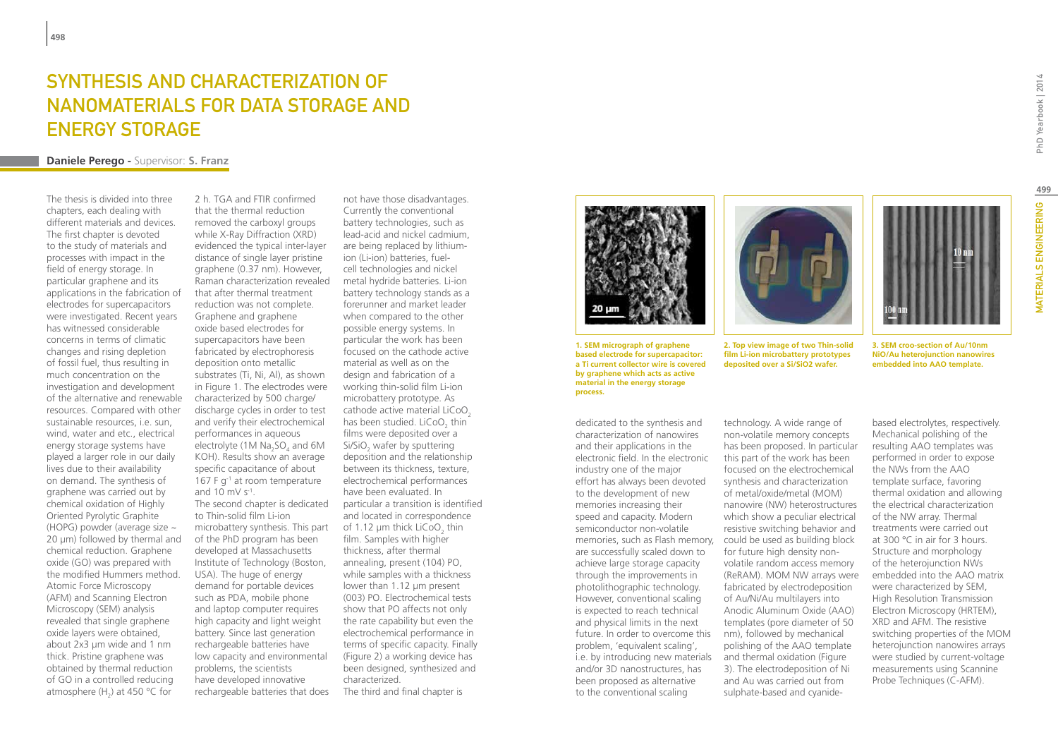## Synthesis and characterization of nanomaterials for data storage and **ENERGY STORAGE**

### **Daniele Perego -** Supervisor: **S. Franz**

The thesis is divided into three chapters, each dealing with different materials and devices. The first chapter is devoted to the study of materials and processes with impact in the field of energy storage. In particular graphene and its applications in the fabrication of electrodes for supercapacitors were investigated. Recent years has witnessed considerable concerns in terms of climatic changes and rising depletion of fossil fuel, thus resulting in much concentration on the investigation and development of the alternative and renewable resources. Compared with other sustainable resources, i.e. sun, wind, water and etc., electrical energy storage systems have played a larger role in our daily lives due to their availability on demand. The synthesis of graphene was carried out by chemical oxidation of Highly Oriented Pyrolytic Graphite (HOPG) powder (average size ~ 20 µm) followed by thermal and chemical reduction. Graphene oxide (GO) was prepared with the modified Hummers method. Atomic Force Microscopy (AFM) and Scanning Electron Microscopy (SEM) analysis revealed that single graphene oxide layers were obtained, about 2x3 µm wide and 1 nm thick. Pristine graphene was obtained by thermal reduction of GO in a controlled reducing atmosphere  $(H_2)$  at 450 °C for

2 h. TGA and FTIR confirmed that the thermal reduction removed the carboxyl groups while X-Ray Diffraction (XRD) evidenced the typical inter-layer distance of single layer pristine graphene (0.37 nm). However, Raman characterization revealed that after thermal treatment reduction was not complete. Graphene and graphene oxide based electrodes for supercapacitors have been fabricated by electrophoresis deposition onto metallic substrates (Ti, Ni, Al), as shown in Figure 1. The electrodes were characterized by 500 charge/ discharge cycles in order to test and verify their electrochemical performances in aqueous electrolyte (1M  $\text{Na}_2\text{SO}_4$  and 6M KOH). Results show an average specific capacitance of about 167 F g-1 at room temperature and 10 mV s-1. The second chapter is dedicated to Thin-solid film Li-ion microbattery synthesis. This part of the PhD program has been developed at Massachusetts Institute of Technology (Boston, USA). The huge of energy demand for portable devices such as PDA, mobile phone and laptop computer requires high capacity and light weight battery. Since last generation rechargeable batteries have low capacity and environmental problems, the scientists have developed innovative rechargeable batteries that does

not have those disadvantages. Currently the conventional battery technologies, such as lead-acid and nickel cadmium, are being replaced by lithiumion (Li-ion) batteries, fuelcell technologies and nickel metal hydride batteries. Li-ion battery technology stands as a forerunner and market leader when compared to the other possible energy systems. In particular the work has been focused on the cathode active material as well as on the design and fabrication of a working thin-solid film Li-ion microbattery prototype. As cathode active material LiCoO<sub>2</sub> has been studied.  $LiCoO<sub>2</sub>$  thin films were deposited over a Si/SiO<sub>2</sub> wafer by sputtering deposition and the relationship between its thickness, texture, electrochemical performances have been evaluated. In particular a transition is identified and located in correspondence of 1.12  $\mu$ m thick LiCoO $_2$  thin film. Samples with higher thickness, after thermal annealing, present (104) PO, while samples with a thickness lower than 1.12 μm present (003) PO. Electrochemical tests show that PO affects not only the rate capability but even the electrochemical performance in terms of specific capacity. Finally (Figure 2) a working device has been designed, synthesized and characterized. The third and final chapter is



**1. SEM micrograph of graphene based electrode for supercapacitor: a Ti current collector wire is covered by graphene which acts as active material in the energy storage process.**

dedicated to the synthesis and characterization of nanowires and their applications in the electronic field. In the electronic industry one of the major effort has always been devoted to the development of new memories increasing their speed and capacity. Modern semiconductor non-volatile memories, such as Flash memory, are successfully scaled down to achieve large storage capacity through the improvements in photolithographic technology. However, conventional scaling is expected to reach technical and physical limits in the next future. In order to overcome this problem, 'equivalent scaling', i.e. by introducing new materials and/or 3D nanostructures, has been proposed as alternative to the conventional scaling



**2. Top view image of two Thin-solid film Li-ion microbattery prototypes deposited over a Si/SiO2 wafer.**

technology. A wide range of non-volatile memory concepts has been proposed. In particular this part of the work has been focused on the electrochemical synthesis and characterization of metal/oxide/metal (MOM) nanowire (NW) heterostructures which show a peculiar electrical resistive switching behavior and could be used as building block for future high density nonvolatile random access memory (ReRAM). MOM NW arrays were fabricated by electrodeposition of Au/Ni/Au multilayers into Anodic Aluminum Oxide (AAO) templates (pore diameter of 50 nm), followed by mechanical polishing of the AAO template and thermal oxidation (Figure 3). The electrodeposition of Ni and Au was carried out from sulphate-based and cyanidePhD Yearbook | 2014

**3. SEM croo-section of Au/10nm NiO/Au heterojunction nanowires embedded into AAO template.**

based electrolytes, respectively. Mechanical polishing of the resulting AAO templates was performed in order to expose the NWs from the AAO template surface, favoring thermal oxidation and allowing the electrical characterization of the NW array. Thermal treatments were carried out at 300 °C in air for 3 hours. Structure and morphology of the heterojunction NWs embedded into the AAO matrix were characterized by SEM, High Resolution Transmission Electron Microscopy (HRTEM), XRD and AFM. The resistive switching properties of the MOM heterojunction nanowires arrays were studied by current-voltage measurements using Scannine Probe Techniques (C-AFM).